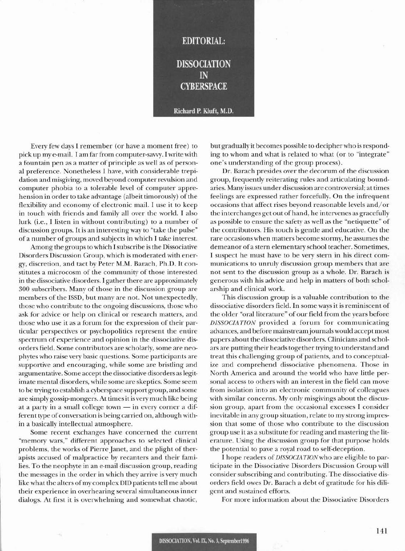

Every few days I remember (or have a moment free) to pick up my e-mail. I am far from computer-savvy. I write with a fountain pen as a matter of principle as well as of personal preference. Nonetheless I have, with considerable trepidation and misgiving, moved beyond computer revulsion and computer phobia to a tolerable level of computer apprehension in order to take advantage (albeit timorously) of the flexibility and economy of electronic mail. I use it to keep in touch with friends and family all over the world. I also lurk (i.e., I listen in without contributing) to a number of discussion groups. It is an interesting way to "take the pulse" of a number of groups and subjects in which I take interest.

Among the groups to which I subscribe is the Dissociative Disorders Discussion Group, which is moderated with energy, discretion, and tact by Peter M.M. Barach, Ph.D. It constitutes a microcosm of the community of those interested in the dissociative disorders. I gather there are approximately 300 subscribers. Many of those in the discussion group are members of the ISSD, but many are not. Not unexpectedly, those who contribute to the ongoing discussions, those who ask for advice or help on clinical or research matters, and those who use it as a forum for the expression of their particular perspectives or psychopolitics represent the entire spectrum of experience and opinion in the dissociative disorders field. Some contributors are scholarly, some are neophytes who raise very basic questions. Some participants are supportive and encouraging, while some are bristling and argumentative. Some accept the dissociative disorders as legitimate mental disorders, while some are skeptics. Some seem to be trying to establish a cyberspace support group, and some are simply gossip-mongers. At times it is very much like being at a party in a small college town - in every corner a different type of conversation is being carried on, although within a basically intellectual atmosphere.

Some recent exchanges have concerned the current "memory wars," different approaches to selected clinical problems, the works of Pierre Janet, and the plight of therapists accused of malpractice by recanters and their families. To the neophyte in an e-mail discussion group, reading the messages in the order in which they arrive is very much like what the alters of my complex DID patients tell me about their experience in overhearing several simultaneous inner dialogs. At first it is overwhelming and somewhat chaotic,

but gradually it becomes possible to decipher who is responding to whom and what is related to what (or to "integrate" one's understanding of the group process).

Dr. Barach presides over the decorum of the discussion group, frequently reiterating rules and articulating boundaries. Many issues under discussion are controversial; at times feelings are expressed rather forcefully. On the infrequent occasions that affect rises beyond reasonable levels and/or the interchanges get out of hand, he intervenes as gracefully as possible to ensure the safety as well as the "netiquette" of the contributors. His touch is gentle and educative. On the rare occasions when matters become stormy, he assumes the demeanor of a stern elementary school teacher. Sometimes, I suspect he must have to be very stern in his direct communications to unruly discussion group members that are not sent to the discussion group as a whole. Dr. Barach is generous with his advice and help in matters of both scholarship and clinical work.

This discussion group is a valuable contribution to the dissociative disorders field. In some ways it is reminiscent of the older "oral literature" of our field from the years before DISSOCIATION provided a forum for communicating advances, and before mainstream journals would accept most papers about the dissociative disorders. Clinicians and scholars are putting their heads together trying to understand and treat this challenging group of patients, and to conceptualize and comprehend dissociative phenomena. Those in North America and around the world who have little personal access to others with an interest in the field can move from isolation into an electronic community of colleagues with similar concerns. My only misgivings about the discussion group, apart from the occasional excesses I consider inevitable in any group situation, relate to my strong impression that some of those who contribute to the discussion group use it as a substitute for reading and mastering the literature. Using the discussion group for that purpose holds the potential to pave a royal road to self-deception.

I hope readers of DISSOCIATION who are eligible to participate in the Dissociative Disorders Discussion Group will consider subscribing and contributing. The dissociative disorders field owes Dr. Barach a debt of gratitude for his diligent and sustained efforts.

For more information about the Dissociative Disorders